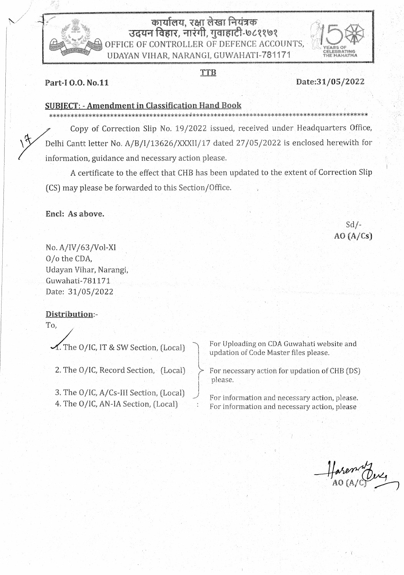# कार्यालय, रक्षा लेखा नियंत्रक उदयन विहार, नारंगी, गुवाहाटी-७८११७१ OFFICE OF CONTROLLER OF DEFENCE ACCOUNTS, UDAYAN VIHAR, NARANGI, GUWAHATI-781171

### TTB

## Date:31/05/2022

### Part-10.0. No.11

#### **SUBIECT: - Amendment in Classification Hand Book**

Copy of Correction Slip No. 19/2022 issued, received under Headquarters Office, Delhi Cantt letter No. A/B/I/13626/XXXII/17 dated 27/05/2022 is enclosed herewith for information, guidance and necessary action please.

A certificate to the effect that CHB has been updated to the extent of Correction Slip (CS) may please be forwarded to this Section/Office.

Encl: As above.

# $Sd/ AO(A/Cs)$

No. A/IV/63/Vol-XI O/o the CDA, Udayan Vihar, Narangi, Guwahati-781171 Date: 31/05/2022

## Distribution:-

To,

1. The O/IC, IT & SW Section, (Local)

2. The O/IC, Record Section, (Local)

3. The O/IC, A/Cs-III Section, (Local) 4. The O/IC, AN-IA Section, (Local)

For Uploading on CDA Guwahati website and updation of Code Master files please.

For necessary action for updation of CHB (DS) please.

For information and necessary action, please. For information and necessary action, please

Hareman